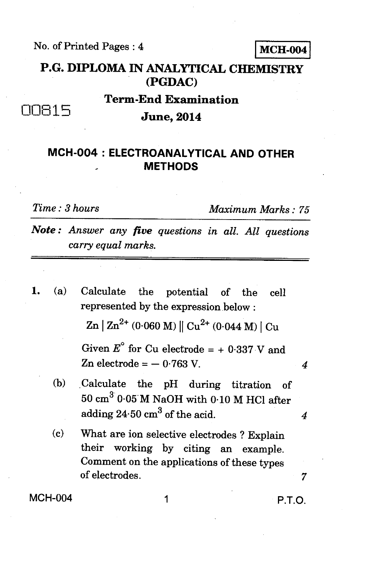No. of Printed Pages : 4 **MCH-004** 

**P.G. DIPLOMA IN ANALYTICAL CHEMISTRY (PGDAC)** 

## **Term-End Examination**  00115 **June, 2014**

## **MCH-004 : ELECTROANALYTICAL AND OTHER METHODS**

*Time : 3 hours Maximum Marks : 75* 

*Note : Answer any five questions in all. All questions carry equal marks.* 

**1.** (a) Calculate the potential of the cell represented by the expression below :

 $\text{Zn}$  |  $\text{Zn}^{2+}$  (0.060 M) ||  $\text{Cu}^{2+}$  (0.044 M) |  $\text{Cu}$ 

Given  $E^{\circ}$  for Cu electrode = + 0.337 V and Zn electrode = — 0.763 V. *4* 

- (b) .Calculate the pH during titration of  $50 \text{ cm}^3$  0.05 M NaOH with 0.10 M HCl after adding  $24.50 \text{ cm}^3$  of the acid.  $4$
- (c) What are ion selective electrodes ? Explain their working by citing an example. Comment on the applications of these types of electrodes. *7*

MCH-004 1 P.T.O.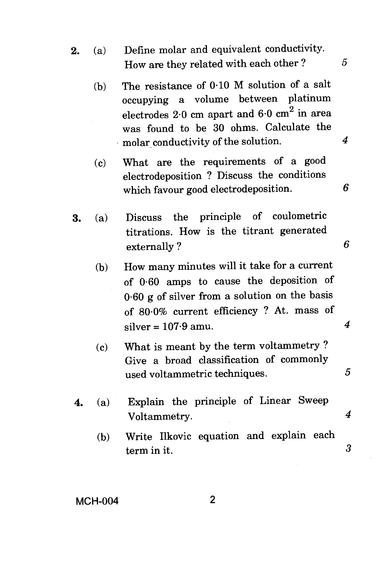- **2.** (a) Define molar and equivalent conductivity. How are they related with each other ?  $5$ 
	- (b) The resistance of 0.10 M solution of a salt occupying a volume between platinum electrodes  $2.0$  cm apart and  $6.0$  cm<sup>2</sup> in area was found to be 30 ohms. Calculate the molar conductivity of the solution. 4
	- (c) What are the requirements of a good electrodeposition ? Discuss the conditions which favour good electrodeposition. *6*
- **3.** (a) Discuss the principle of coulometric titrations. How is the titrant generated externally ? *6* 
	- (b) How many minutes will it take for a current of 0.60 amps to cause the deposition of 0.60 g of silver from a solution on the basis of 80.0% current efficiency ? At. mass of  $\text{silver} = 107.9 \text{ amu.}$  4
	- (c) What is meant by the term voltammetry ? Give a broad classification of commonly used voltammetric techniques. *5*
- **4.** (a) Explain the principle of Linear Sweep Voltammetry. *4* 
	- (b) Write Ilkovic equation and explain each term in it. *3*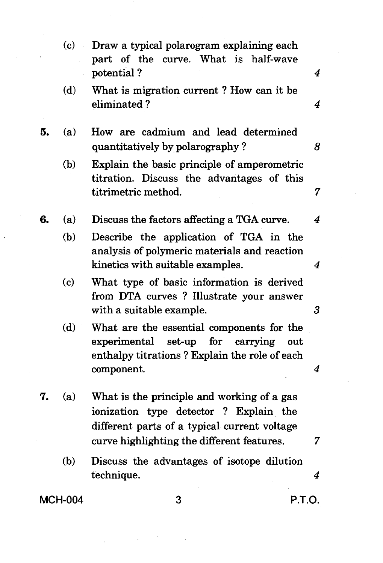- (c) Draw a typical polarogram explaining each part of the curve. What is half-wave potential ? **4**
- (d) What is migration current ? How can it be eliminated ? *4*
- **5.** (a) How are cadmium and lead determined quantitatively by polarography ? *8* 
	- (b) Explain the basic principle of amperometric titration. Discuss the advantages of this titrimetric method. *7*

**6.** (a) Discuss the factors affecting a TGA curve. *4* 

- (b) Describe the application of TGA in the analysis of polymeric materials and reaction kinetics with suitable examples. *4*
- (c) What type of basic information is derived from DTA curves ? Illustrate your answer with a suitable example. **3**
- (d) What are the essential components for the experimental set-up for carrying out enthalpy titrations ? Explain the role of each component. 4
- **7.** (a) What is the principle and working of a gas ionization type detector ? Explain the different parts of a typical current voltage curve highlighting the different features.  $\frac{7}{7}$ 
	- (b) Discuss the advantages of isotope dilution technique. *4*

## **MCH-004 3 P.T.O.**